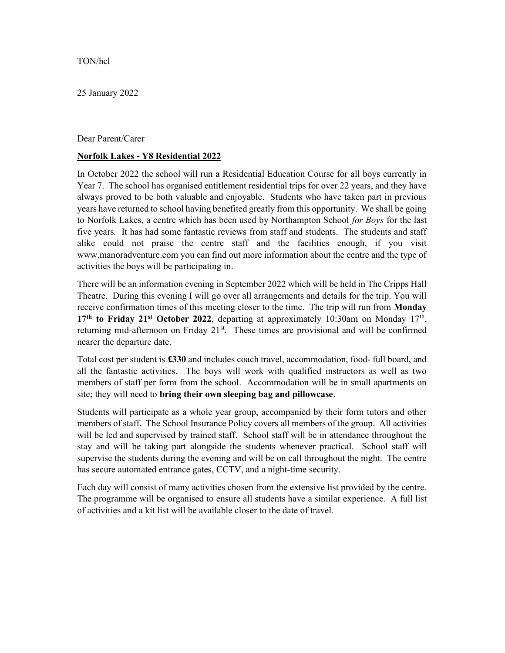## TON/hcl

25 January 2022

## Dear Parent/Carer

## Norfolk Lakes - Y8 Residential 2022

In October 2022 the school will run a Residential Education Course for all boys currently in Year 7. The school has organised entitlement residential trips for over 22 years, and they have always proved to be both valuable and enjoyable. Students who have taken part in previous years have returned to school having benefited greatly from this opportunity. We shall be going to Norfolk Lakes, a centre which has been used by Northampton School for Boys for the last five years. It has had some fantastic reviews from staff and students. The students and staff alike could not praise the centre staff and the facilities enough, if you visit www.manoradventure.com you can find out more information about the centre and the type of activities the boys will be participating in.

There will be an information evening in September 2022 which will be held in The Cripps Hall Theatre. During this evening I will go over all arrangements and details for the trip. You will receive confirmation times of this meeting closer to the time. The trip will run from **Monday** 17<sup>th</sup> to Friday 21<sup>st</sup> October 2022, departing at approximately 10:30am on Monday 17<sup>th</sup>, returning mid-afternoon on Friday 21<sup>st</sup>. These times are provisional and will be confirmed nearer the departure date.

Total cost per student is £330 and includes coach travel, accommodation, food- full board, and all the fantastic activities. The boys will work with qualified instructors as well as two members of staff per form from the school. Accommodation will be in small apartments on site; they will need to bring their own sleeping bag and pillowcase.

Students will participate as a whole year group, accompanied by their form tutors and other members of staff. The School Insurance Policy covers all members of the group. All activities will be led and supervised by trained staff. School staff will be in attendance throughout the stay and will be taking part alongside the students whenever practical. School staff will supervise the students during the evening and will be on call throughout the night. The centre has secure automated entrance gates, CCTV, and a night-time security.

Each day will consist of many activities chosen from the extensive list provided by the centre. The programme will be organised to ensure all students have a similar experience. A full list of activities and a kit list will be available closer to the date of travel.